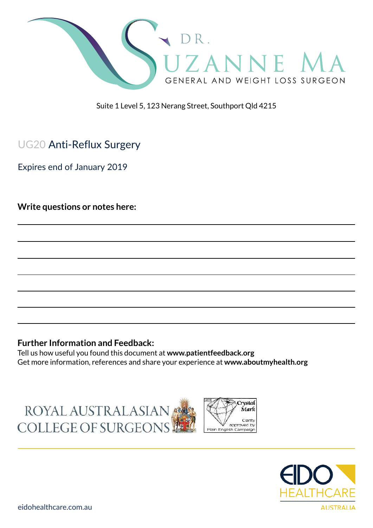

Suite 1 Level 5, 123 Nerang Street, Southport Qld 4215

# UG20 Anti-Reflux Surgery

Expires end of January 2019

**Write questions or notes here:**

#### **Further Information and Feedback:**

Tell us how useful you found this document at **www.patientfeedback.org** Get more information, references and share your experience at **www.aboutmyhealth.org**

ROYAL AUSTRALASIAN COLLEGE OF SURGEONS



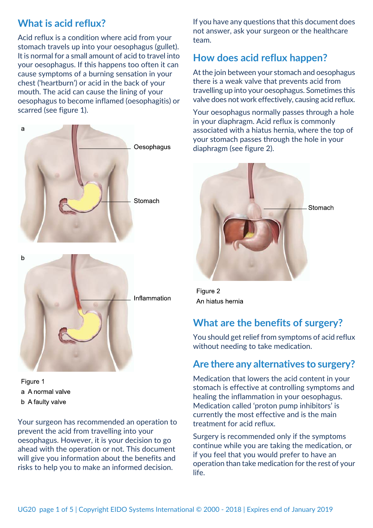### **What is acid reflux?**

Acid reflux is a condition where acid from your stomach travels up into your oesophagus (gullet). It is normal for a small amount of acid to travel into your oesophagus. If this happens too often it can cause symptoms of a burning sensation in your chest ('heartburn') or acid in the back of your mouth. The acid can cause the lining of your oesophagus to become inflamed (oesophagitis) or scarred (see figure 1).





Figure 1 a A normal valve b A faulty valve

Your surgeon has recommended an operation to prevent the acid from travelling into your oesophagus. However, it is your decision to go ahead with the operation or not. This document will give you information about the benefits and risks to help you to make an informed decision.

If you have any questions that this document does not answer, ask your surgeon or the healthcare team.

# **How does acid reflux happen?**

At the join between your stomach and oesophagus there is a weak valve that prevents acid from travelling up into your oesophagus. Sometimes this valve does not work effectively, causing acid reflux.

Your oesophagus normally passes through a hole in your diaphragm. Acid reflux is commonly associated with a hiatus hernia, where the top of your stomach passes through the hole in your diaphragm (see figure 2).



Figure 2 An hiatus hernia

# **What are the benefits of surgery?**

You should get relief from symptoms of acid reflux without needing to take medication.

### **Are there any alternatives to surgery?**

Medication that lowers the acid content in your stomach is effective at controlling symptoms and healing the inflammation in your oesophagus. Medication called 'proton pump inhibitors' is currently the most effective and is the main treatment for acid reflux.

Surgery is recommended only if the symptoms continue while you are taking the medication, or if you feel that you would prefer to have an operation than take medication for the rest of your life.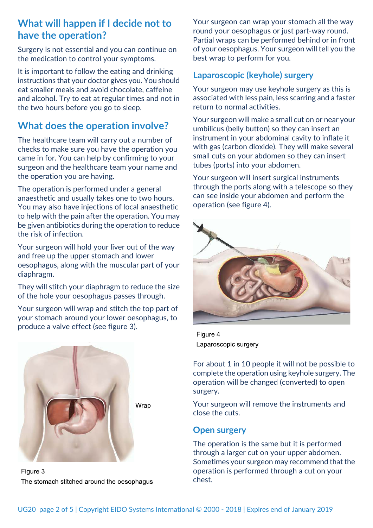### **What will happen if I decide not to have the operation?**

Surgery is not essential and you can continue on the medication to control your symptoms.

It is important to follow the eating and drinking instructions that your doctor gives you. You should eat smaller meals and avoid chocolate, caffeine and alcohol. Try to eat at regular times and not in the two hours before you go to sleep.

## **What does the operation involve?**

The healthcare team will carry out a number of checks to make sure you have the operation you came in for. You can help by confirming to your surgeon and the healthcare team your name and the operation you are having.

The operation is performed under a general anaesthetic and usually takes one to two hours. You may also have injections of local anaesthetic to help with the pain after the operation. You may be given antibiotics during the operation to reduce the risk of infection.

Your surgeon will hold your liver out of the way and free up the upper stomach and lower oesophagus, along with the muscular part of your diaphragm.

They will stitch your diaphragm to reduce the size of the hole your oesophagus passes through.

Your surgeon will wrap and stitch the top part of your stomach around your lower oesophagus, to produce a valve effect (see figure 3).



Figure 3 The stomach stitched around the oesophagus

Your surgeon can wrap your stomach all the way round your oesophagus or just part-way round. Partial wraps can be performed behind or in front of your oesophagus. Your surgeon will tell you the best wrap to perform for you.

### **Laparoscopic (keyhole) surgery**

Your surgeon may use keyhole surgery as this is associated with less pain, less scarring and a faster return to normal activities.

Your surgeon will make a small cut on or near your umbilicus (belly button) so they can insert an instrument in your abdominal cavity to inflate it with gas (carbon dioxide). They will make several small cuts on your abdomen so they can insert tubes (ports) into your abdomen.

Your surgeon will insert surgical instruments through the ports along with a telescope so they can see inside your abdomen and perform the operation (see figure 4).



Figure 4 Laparoscopic surgery

For about 1 in 10 people it will not be possible to complete the operation using keyhole surgery. The operation will be changed (converted) to open surgery.

Your surgeon will remove the instruments and close the cuts.

### **Open surgery**

The operation is the same but it is performed through a larger cut on your upper abdomen. Sometimes your surgeon may recommend that the operation is performed through a cut on your chest.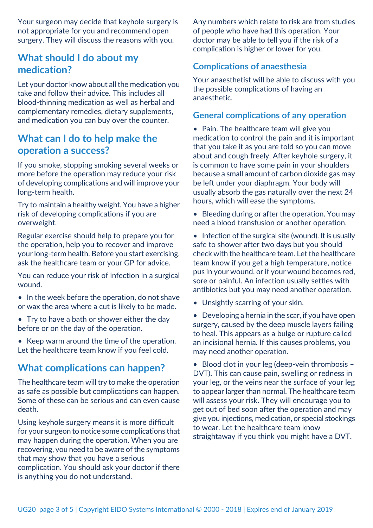Your surgeon may decide that keyhole surgery is not appropriate for you and recommend open surgery. They will discuss the reasons with you.

### **What should I do about my medication?**

Let your doctor know about all the medication you take and follow their advice. This includes all blood-thinning medication as well as herbal and complementary remedies, dietary supplements, and medication you can buy over the counter.

### **What can I do to help make the operation a success?**

If you smoke, stopping smoking several weeks or more before the operation may reduce your risk of developing complications and will improve your long-term health.

Try to maintain a healthy weight. You have a higher risk of developing complications if you are overweight.

Regular exercise should help to prepare you for the operation, help you to recover and improve your long-term health. Before you start exercising, ask the healthcare team or your GP for advice.

You can reduce your risk of infection in a surgical wound.

- In the week before the operation, do not shave or wax the area where a cut is likely to be made.
- Try to have a bath or shower either the day before or on the day of the operation.
- Keep warm around the time of the operation. Let the healthcare team know if you feel cold.

### **What complications can happen?**

The healthcare team will try to make the operation as safe as possible but complications can happen. Some of these can be serious and can even cause death.

Using keyhole surgery means it is more difficult for your surgeon to notice some complications that may happen during the operation. When you are recovering, you need to be aware of the symptoms that may show that you have a serious complication. You should ask your doctor if there is anything you do not understand.

Any numbers which relate to risk are from studies of people who have had this operation. Your doctor may be able to tell you if the risk of a complication is higher or lower for you.

### **Complications of anaesthesia**

Your anaesthetist will be able to discuss with you the possible complications of having an anaesthetic.

### **General complications of any operation**

• Pain. The healthcare team will give you medication to control the pain and it is important that you take it as you are told so you can move about and cough freely. After keyhole surgery, it is common to have some pain in your shoulders because a small amount of carbon dioxide gas may be left under your diaphragm. Your body will usually absorb the gas naturally over the next 24 hours, which will ease the symptoms.

• Bleeding during or after the operation. You may need a blood transfusion or another operation.

• Infection of the surgical site (wound). It is usually safe to shower after two days but you should check with the healthcare team. Let the healthcare team know if you get a high temperature, notice pus in your wound, or if your wound becomes red, sore or painful. An infection usually settles with antibiotics but you may need another operation.

- Unsightly scarring of your skin.
- Developing a hernia in the scar, if you have open surgery, caused by the deep muscle layers failing to heal. This appears as a bulge or rupture called an incisional hernia. If this causes problems, you may need another operation.

• Blood clot in your leg (deep-vein thrombosis – DVT). This can cause pain, swelling or redness in your leg, or the veins near the surface of your leg to appear larger than normal. The healthcare team will assess your risk. They will encourage you to get out of bed soon after the operation and may give you injections, medication, or special stockings to wear. Let the healthcare team know straightaway if you think you might have a DVT.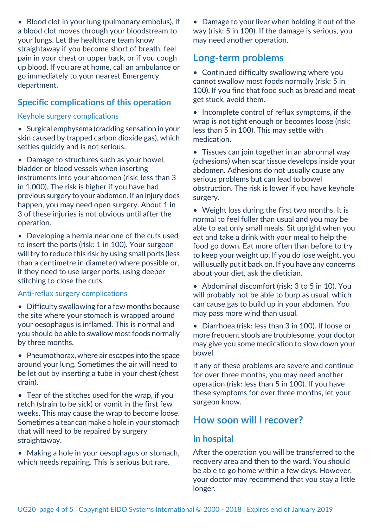• Blood clot in your lung (pulmonary embolus), if a blood clot moves through your bloodstream to your lungs. Let the healthcare team know straightaway if you become short of breath, feel pain in your chest or upper back, or if you cough up blood. If you are at home, call an ambulance or go immediately to your nearest Emergency department.

### **Specific complications of this operation**

#### Keyhole surgery complications

• Surgical emphysema (crackling sensation in your skin caused by trapped carbon dioxide gas), which settles quickly and is not serious.

• Damage to structures such as your bowel, bladder or blood vessels when inserting instruments into your abdomen (risk: less than 3 in 1,000). The risk is higher if you have had previous surgery to your abdomen. If an injury does happen, you may need open surgery. About 1 in 3 of these injuries is not obvious until after the operation.

• Developing a hernia near one of the cuts used to insert the ports (risk: 1 in 100). Your surgeon will try to reduce this risk by using small ports (less than a centimetre in diameter) where possible or, if they need to use larger ports, using deeper stitching to close the cuts.

#### Anti-reflux surgery complications

• Difficulty swallowing for a few months because the site where your stomach is wrapped around your oesophagus is inflamed. This is normal and you should be able to swallow most foods normally by three months.

• Pneumothorax, where air escapes into the space around your lung. Sometimes the air will need to be let out by inserting a tube in your chest (chest drain).

• Tear of the stitches used for the wrap, if you retch (strain to be sick) or vomit in the first few weeks. This may cause the wrap to become loose. Sometimes a tear can make a hole in your stomach that will need to be repaired by surgery straightaway.

• Making a hole in your oesophagus or stomach, which needs repairing. This is serious but rare.

• Damage to your liver when holding it out of the way (risk: 5 in 100). If the damage is serious, you may need another operation.

### **Long-term problems**

• Continued difficulty swallowing where you cannot swallow most foods normally (risk: 5 in 100). If you find that food such as bread and meat get stuck, avoid them.

• Incomplete control of reflux symptoms, if the wrap is not tight enough or becomes loose (risk: less than 5 in 100). This may settle with medication.

• Tissues can join together in an abnormal way (adhesions) when scar tissue develops inside your abdomen. Adhesions do not usually cause any serious problems but can lead to bowel obstruction. The risk is lower if you have keyhole surgery.

• Weight loss during the first two months. It is normal to feel fuller than usual and you may be able to eat only small meals. Sit upright when you eat and take a drink with your meal to help the food go down. Eat more often than before to try to keep your weight up. If you do lose weight, you will usually put it back on. If you have any concerns about your diet, ask the dietician.

• Abdominal discomfort (risk: 3 to 5 in 10). You will probably not be able to burp as usual, which can cause gas to build up in your abdomen. You may pass more wind than usual.

• Diarrhoea (risk: less than 3 in 100). If loose or more frequent stools are troublesome, your doctor may give you some medication to slow down your bowel.

If any of these problems are severe and continue for over three months, you may need another operation (risk: less than 5 in 100). If you have these symptoms for over three months, let your surgeon know.

### **How soon will I recover?**

### **In hospital**

After the operation you will be transferred to the recovery area and then to the ward. You should be able to go home within a few days. However, your doctor may recommend that you stay a little longer.